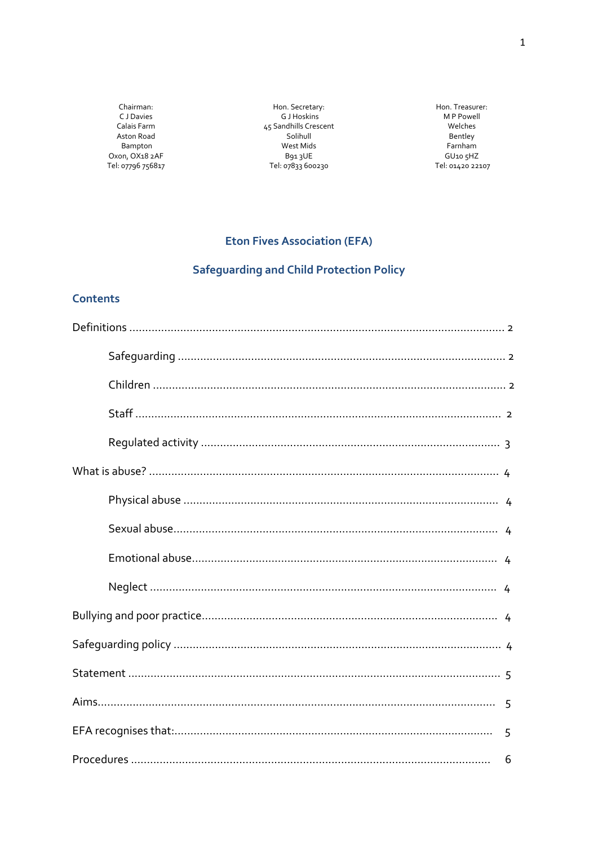Chairman: C J Davies Calais Farm Aston Road Bampton Oxon, OX18 2AF Tel: 07796 756817

Hon. Secretary: G J Hoskins 45 Sandhills Crescent Solihull West Mids B913UE Tel: 07833 600230

Hon. Treasurer: M P Powell Welches Bentley Farnham GU10 5HZ Tel: 01420 22107

## **Eton Fives Association (EFA)**

# Safeguarding and Child Protection Policy

### **Contents**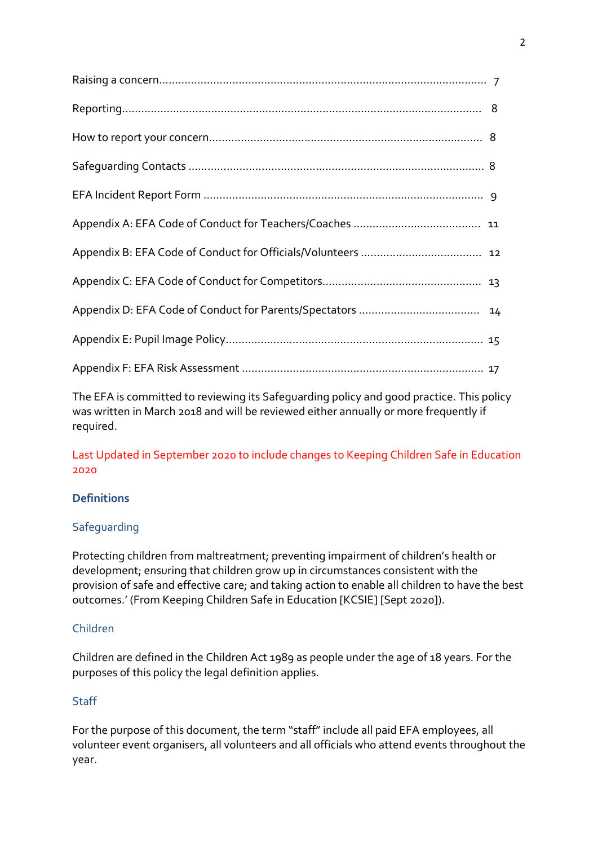The EFA is committed to reviewing its Safeguarding policy and good practice. This policy was written in March 2018 and will be reviewed either annually or more frequently if required.

Last Updated in September 2020 to include changes to Keeping Children Safe in Education 2020

## **Definitions**

## **Safequarding**

Protecting children from maltreatment; preventing impairment of children's health or development; ensuring that children grow up in circumstances consistent with the provision of safe and effective care; and taking action to enable all children to have the best outcomes.' (From Keeping Children Safe in Education [KCSIE] [Sept 2020]).

## Children

Children are defined in the Children Act 1989 as people under the age of 18 years. For the purposes of this policy the legal definition applies.

## Staff

For the purpose of this document, the term "staff" include all paid EFA employees, all volunteer event organisers, all volunteers and all officials who attend events throughout the year.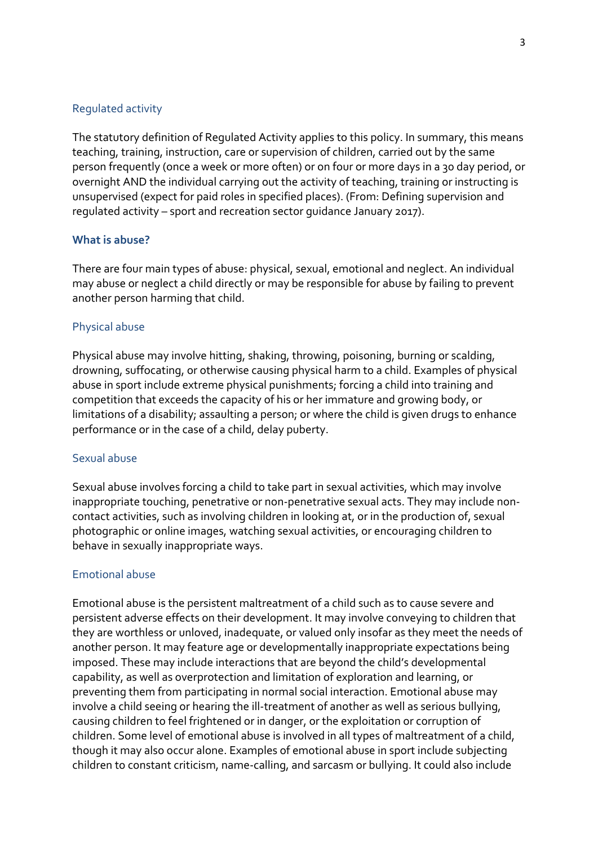### Regulated activity

The statutory definition of Regulated Activity applies to this policy. In summary, this means teaching, training, instruction, care or supervision of children, carried out by the same person frequently (once a week or more often) or on four or more days in a 30 day period, or overnight AND the individual carrying out the activity of teaching, training or instructing is unsupervised (expect for paid roles in specified places). (From: Defining supervision and regulated activity – sport and recreation sector guidance January 2017).

#### **What is abuse?**

There are four main types of abuse: physical, sexual, emotional and neglect. An individual may abuse or neglect a child directly or may be responsible for abuse by failing to prevent another person harming that child.

#### Physical abuse

Physical abuse may involve hitting, shaking, throwing, poisoning, burning or scalding, drowning, suffocating, or otherwise causing physical harm to a child. Examples of physical abuse in sport include extreme physical punishments; forcing a child into training and competition that exceeds the capacity of his or her immature and growing body, or limitations of a disability; assaulting a person; or where the child is given drugs to enhance performance or in the case of a child, delay puberty.

#### Sexual abuse

Sexual abuse involves forcing a child to take part in sexual activities, which may involve inappropriate touching, penetrative or non-penetrative sexual acts. They may include noncontact activities, such as involving children in looking at, or in the production of, sexual photographic or online images, watching sexual activities, or encouraging children to behave in sexually inappropriate ways.

#### Emotional abuse

Emotional abuse is the persistent maltreatment of a child such as to cause severe and persistent adverse effects on their development. It may involve conveying to children that they are worthless or unloved, inadequate, or valued only insofar as they meet the needs of another person. It may feature age or developmentally inappropriate expectations being imposed. These may include interactions that are beyond the child's developmental capability, as well as overprotection and limitation of exploration and learning, or preventing them from participating in normal social interaction. Emotional abuse may involve a child seeing or hearing the ill-treatment of another as well as serious bullying, causing children to feel frightened or in danger, or the exploitation or corruption of children. Some level of emotional abuse is involved in all types of maltreatment of a child, though it may also occur alone. Examples of emotional abuse in sport include subjecting children to constant criticism, name-calling, and sarcasm or bullying. It could also include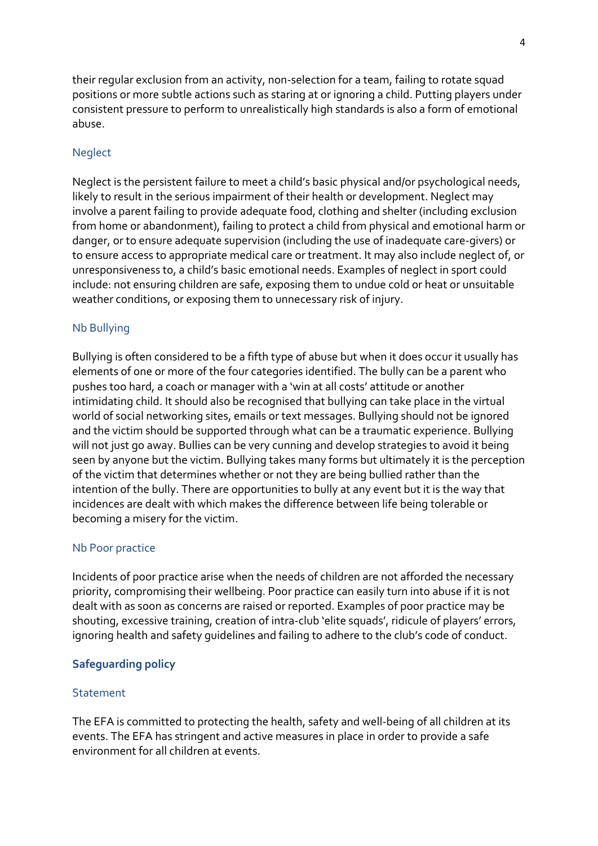their regular exclusion from an activity, non-selection for a team, failing to rotate squad positions or more subtle actions such as staring at or ignoring a child. Putting players under consistent pressure to perform to unrealistically high standards is also a form of emotional abuse.

#### **Neglect**

Neglect is the persistent failure to meet a child's basic physical and/or psychological needs, likely to result in the serious impairment of their health or development. Neglect may involve a parent failing to provide adequate food, clothing and shelter (including exclusion from home or abandonment), failing to protect a child from physical and emotional harm or danger, or to ensure adequate supervision (including the use of inadequate care-givers) or to ensure access to appropriate medical care or treatment. It may also include neglect of, or unresponsiveness to, a child's basic emotional needs. Examples of neglect in sport could include: not ensuring children are safe, exposing them to undue cold or heat or unsuitable weather conditions, or exposing them to unnecessary risk of injury.

#### Nb Bullying

Bullying is often considered to be a fifth type of abuse but when it does occur it usually has elements of one or more of the four categories identified. The bully can be a parent who pushes too hard, a coach or manager with a 'win at all costs' attitude or another intimidating child. It should also be recognised that bullying can take place in the virtual world of social networking sites, emails or text messages. Bullying should not be ignored and the victim should be supported through what can be a traumatic experience. Bullying will not just go away. Bullies can be very cunning and develop strategies to avoid it being seen by anyone but the victim. Bullying takes many forms but ultimately it is the perception of the victim that determines whether or not they are being bullied rather than the intention of the bully. There are opportunities to bully at any event but it is the way that incidences are dealt with which makes the difference between life being tolerable or becoming a misery for the victim.

#### Nb Poor practice

Incidents of poor practice arise when the needs of children are not afforded the necessary priority, compromising their wellbeing. Poor practice can easily turn into abuse if it is not dealt with as soon as concerns are raised or reported. Examples of poor practice may be shouting, excessive training, creation of intra-club 'elite squads', ridicule of players' errors, ignoring health and safety guidelines and failing to adhere to the club's code of conduct.

### **Safeguarding policy**

#### **Statement**

The EFA is committed to protecting the health, safety and well-being of all children at its events. The EFA has stringent and active measures in place in order to provide a safe environment for all children at events.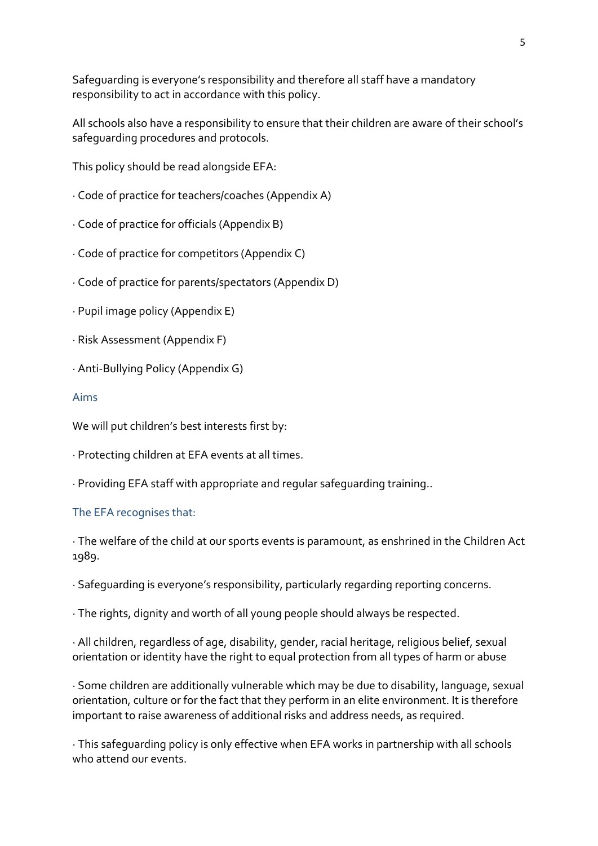Safeguarding is everyone's responsibility and therefore all staff have a mandatory responsibility to act in accordance with this policy.

All schools also have a responsibility to ensure that their children are aware of their school's safeguarding procedures and protocols.

This policy should be read alongside EFA:

- · Code of practice for teachers/coaches (Appendix A)
- · Code of practice for officials (Appendix B)
- · Code of practice for competitors (Appendix C)
- · Code of practice for parents/spectators (Appendix D)
- · Pupil image policy (Appendix E)
- · Risk Assessment (Appendix F)
- · Anti-Bullying Policy (Appendix G)

#### Aims

We will put children's best interests first by:

- · Protecting children at EFA events at all times.
- · Providing EFA staff with appropriate and regular safeguarding training..

### The EFA recognises that:

· The welfare of the child at our sports events is paramount, as enshrined in the Children Act 1989.

· Safeguarding is everyone's responsibility, particularly regarding reporting concerns.

· The rights, dignity and worth of all young people should always be respected.

· All children, regardless of age, disability, gender, racial heritage, religious belief, sexual orientation or identity have the right to equal protection from all types of harm or abuse

· Some children are additionally vulnerable which may be due to disability, language, sexual orientation, culture or for the fact that they perform in an elite environment. It is therefore important to raise awareness of additional risks and address needs, as required.

· This safeguarding policy is only effective when EFA works in partnership with all schools who attend our events.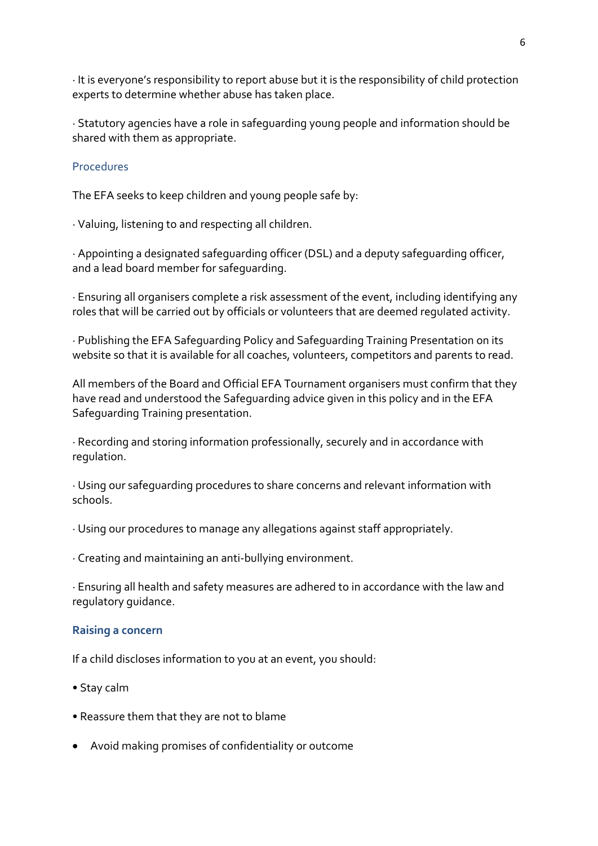· It is everyone's responsibility to report abuse but it is the responsibility of child protection experts to determine whether abuse has taken place.

· Statutory agencies have a role in safeguarding young people and information should be shared with them as appropriate.

### **Procedures**

The EFA seeks to keep children and young people safe by:

· Valuing, listening to and respecting all children.

· Appointing a designated safeguarding officer (DSL) and a deputy safeguarding officer, and a lead board member for safeguarding.

· Ensuring all organisers complete a risk assessment of the event, including identifying any roles that will be carried out by officials or volunteers that are deemed regulated activity.

· Publishing the EFA Safeguarding Policy and Safeguarding Training Presentation on its website so that it is available for all coaches, volunteers, competitors and parents to read.

All members of the Board and Official EFA Tournament organisers must confirm that they have read and understood the Safeguarding advice given in this policy and in the EFA Safeguarding Training presentation.

· Recording and storing information professionally, securely and in accordance with regulation.

· Using our safeguarding procedures to share concerns and relevant information with schools.

- · Using our procedures to manage any allegations against staff appropriately.
- · Creating and maintaining an anti-bullying environment.

· Ensuring all health and safety measures are adhered to in accordance with the law and regulatory guidance.

### **Raising a concern**

If a child discloses information to you at an event, you should:

- Stay calm
- Reassure them that they are not to blame
- Avoid making promises of confidentiality or outcome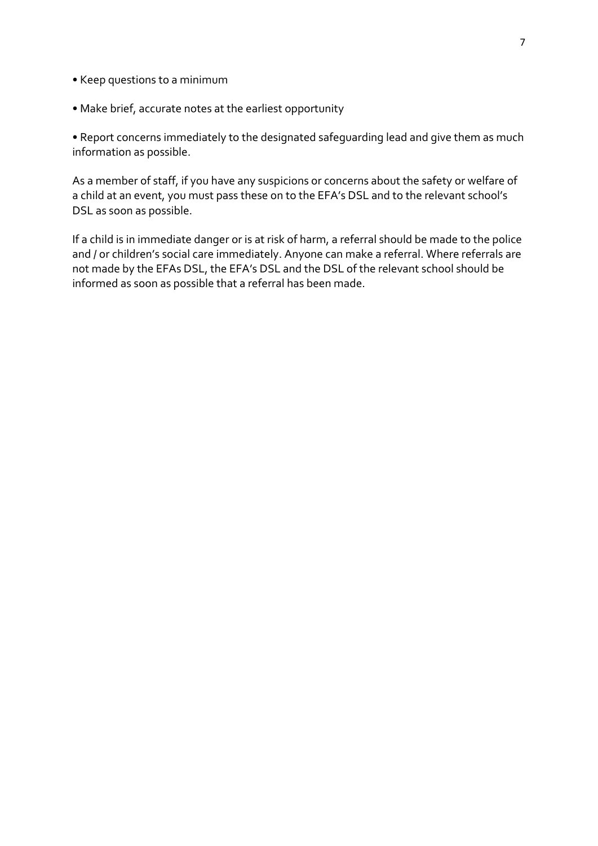- Keep questions to a minimum
- Make brief, accurate notes at the earliest opportunity

• Report concerns immediately to the designated safeguarding lead and give them as much information as possible.

As a member of staff, if you have any suspicions or concerns about the safety or welfare of a child at an event, you must pass these on to the EFA's DSL and to the relevant school's DSL as soon as possible.

If a child is in immediate danger or is at risk of harm, a referral should be made to the police and / or children's social care immediately. Anyone can make a referral. Where referrals are not made by the EFAs DSL, the EFA's DSL and the DSL of the relevant school should be informed as soon as possible that a referral has been made.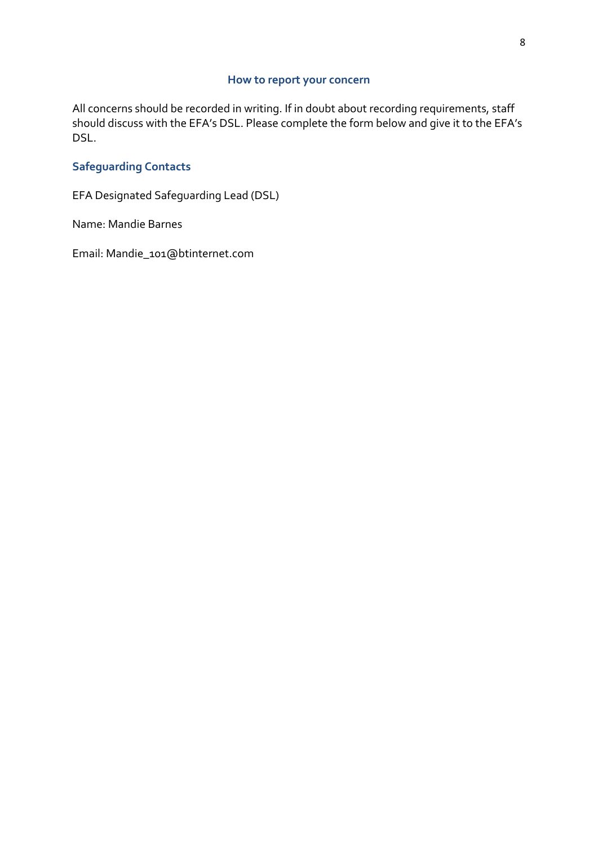### **How to report your concern**

All concerns should be recorded in writing. If in doubt about recording requirements, staff should discuss with the EFA's DSL. Please complete the form below and give it to the EFA's DSL.

## **Safeguarding Contacts**

EFA Designated Safeguarding Lead (DSL)

Name: Mandie Barnes

Email: Mandie\_101@btinternet.com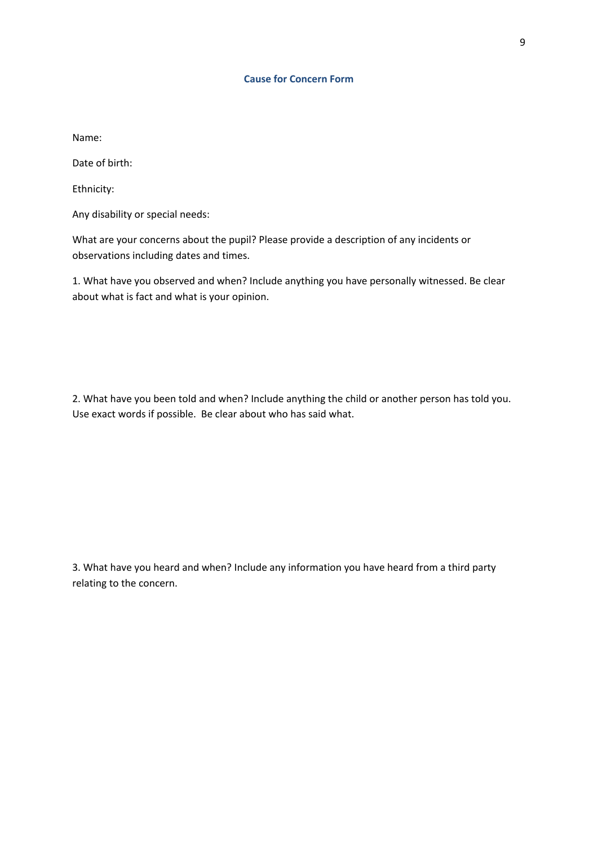#### **Cause for Concern Form**

Name:

Date of birth:

Ethnicity:

Any disability or special needs:

What are your concerns about the pupil? Please provide a description of any incidents or observations including dates and times.

1. What have you observed and when? Include anything you have personally witnessed. Be clear about what is fact and what is your opinion.

2. What have you been told and when? Include anything the child or another person has told you. Use exact words if possible. Be clear about who has said what.

3. What have you heard and when? Include any information you have heard from a third party relating to the concern.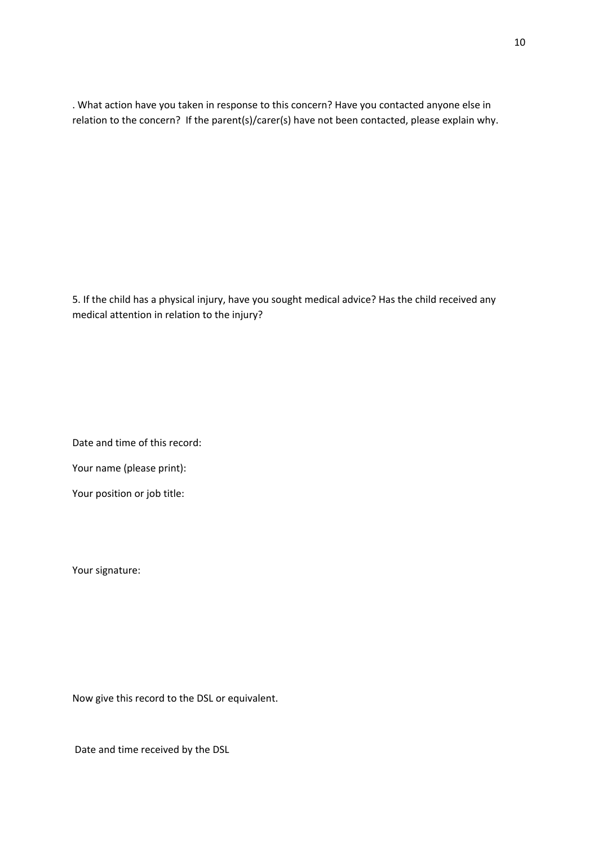. What action have you taken in response to this concern? Have you contacted anyone else in relation to the concern? If the parent(s)/carer(s) have not been contacted, please explain why.

5. If the child has a physical injury, have you sought medical advice? Has the child received any medical attention in relation to the injury?

Date and time of this record:

Your name (please print):

Your position or job title:

Your signature:

Now give this record to the DSL or equivalent.

Date and time received by the DSL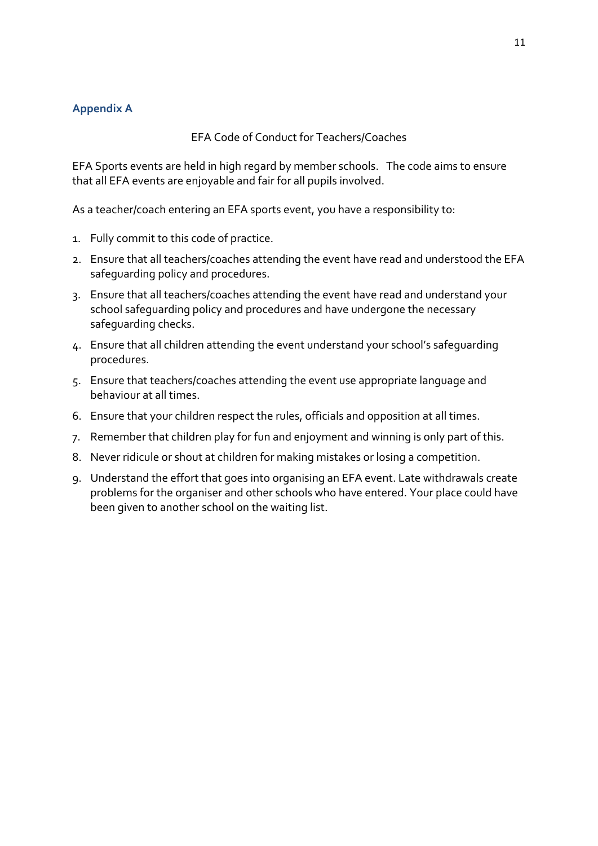### **Appendix A**

### EFA Code of Conduct for Teachers/Coaches

EFA Sports events are held in high regard by member schools. The code aims to ensure that all EFA events are enjoyable and fair for all pupils involved.

As a teacher/coach entering an EFA sports event, you have a responsibility to:

- 1. Fully commit to this code of practice.
- 2. Ensure that all teachers/coaches attending the event have read and understood the EFA safeguarding policy and procedures.
- 3. Ensure that all teachers/coaches attending the event have read and understand your school safeguarding policy and procedures and have undergone the necessary safeguarding checks.
- 4. Ensure that all children attending the event understand your school's safeguarding procedures.
- 5. Ensure that teachers/coaches attending the event use appropriate language and behaviour at all times.
- 6. Ensure that your children respect the rules, officials and opposition at all times.
- 7. Remember that children play for fun and enjoyment and winning is only part of this.
- 8. Never ridicule or shout at children for making mistakes or losing a competition.
- 9. Understand the effort that goes into organising an EFA event. Late withdrawals create problems for the organiser and other schools who have entered. Your place could have been given to another school on the waiting list.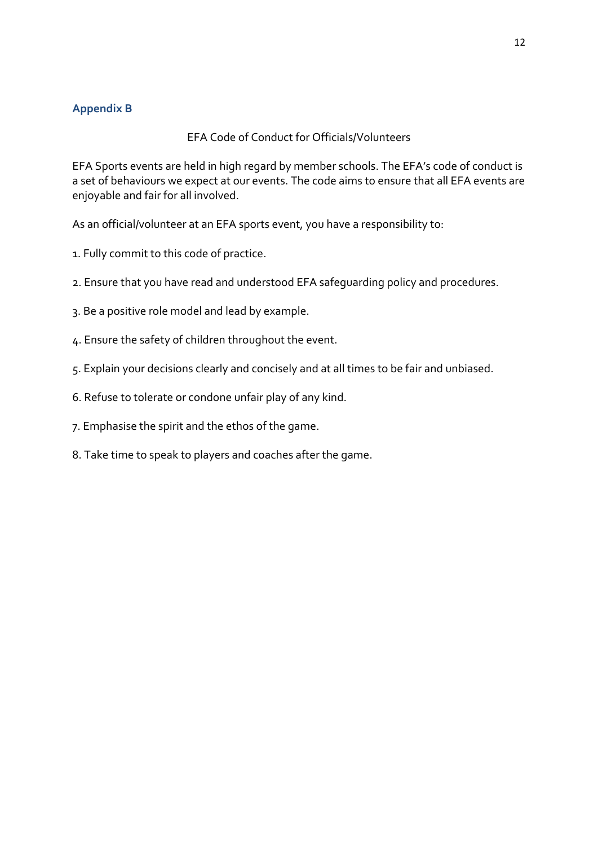## **Appendix B**

### EFA Code of Conduct for Officials/Volunteers

EFA Sports events are held in high regard by member schools. The EFA's code of conduct is a set of behaviours we expect at our events. The code aims to ensure that all EFA events are enjoyable and fair for all involved.

As an official/volunteer at an EFA sports event, you have a responsibility to:

- 1. Fully commit to this code of practice.
- 2. Ensure that you have read and understood EFA safeguarding policy and procedures.
- 3. Be a positive role model and lead by example.
- 4. Ensure the safety of children throughout the event.
- 5. Explain your decisions clearly and concisely and at all times to be fair and unbiased.
- 6. Refuse to tolerate or condone unfair play of any kind.
- 7. Emphasise the spirit and the ethos of the game.
- 8. Take time to speak to players and coaches after the game.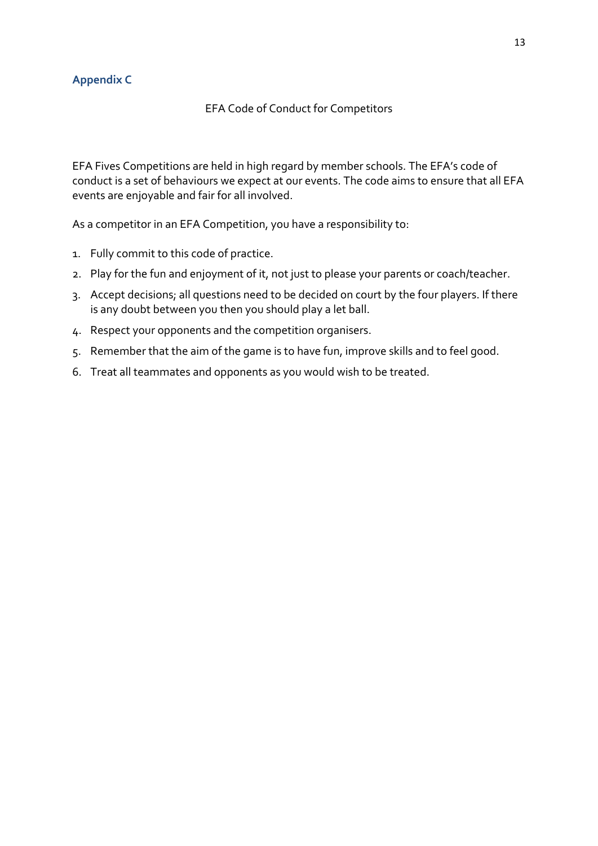## **Appendix C**

#### EFA Code of Conduct for Competitors

EFA Fives Competitions are held in high regard by member schools. The EFA's code of conduct is a set of behaviours we expect at our events. The code aims to ensure that all EFA events are enjoyable and fair for all involved.

As a competitor in an EFA Competition, you have a responsibility to:

- 1. Fully commit to this code of practice.
- 2. Play for the fun and enjoyment of it, not just to please your parents or coach/teacher.
- 3. Accept decisions; all questions need to be decided on court by the four players. If there is any doubt between you then you should play a let ball.
- 4. Respect your opponents and the competition organisers.
- 5. Remember that the aim of the game is to have fun, improve skills and to feel good.
- 6. Treat all teammates and opponents as you would wish to be treated.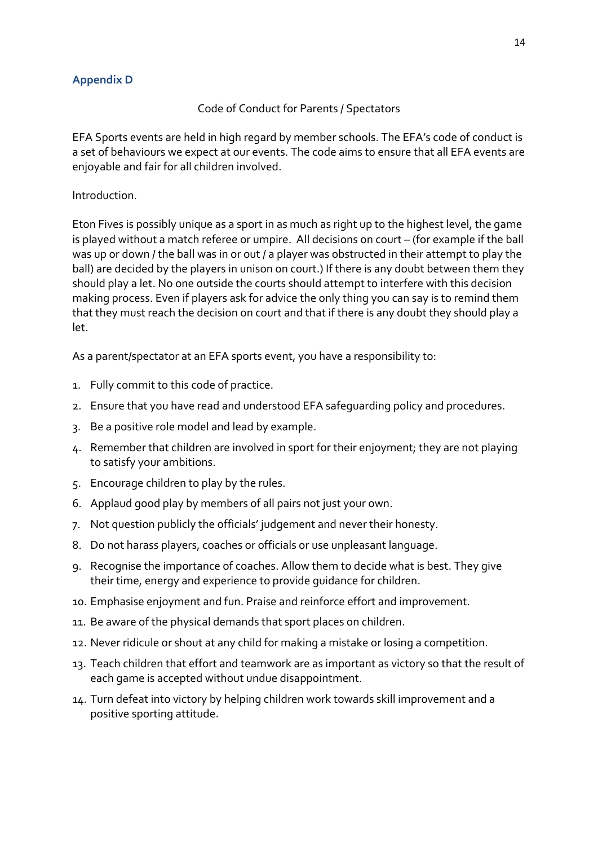## **Appendix D**

### Code of Conduct for Parents / Spectators

EFA Sports events are held in high regard by member schools. The EFA's code of conduct is a set of behaviours we expect at our events. The code aims to ensure that all EFA events are enjoyable and fair for all children involved.

### Introduction.

Eton Fives is possibly unique as a sport in as much as right up to the highest level, the game is played without a match referee or umpire. All decisions on court – (for example if the ball was up or down / the ball was in or out / a player was obstructed in their attempt to play the ball) are decided by the players in unison on court.) If there is any doubt between them they should play a let. No one outside the courts should attempt to interfere with this decision making process. Even if players ask for advice the only thing you can say is to remind them that they must reach the decision on court and that if there is any doubt they should play a let.

As a parent/spectator at an EFA sports event, you have a responsibility to:

- 1. Fully commit to this code of practice.
- 2. Ensure that you have read and understood EFA safeguarding policy and procedures.
- 3. Be a positive role model and lead by example.
- 4. Remember that children are involved in sport for their enjoyment; they are not playing to satisfy your ambitions.
- 5. Encourage children to play by the rules.
- 6. Applaud good play by members of all pairs not just your own.
- 7. Not question publicly the officials' judgement and never their honesty.
- 8. Do not harass players, coaches or officials or use unpleasant language.
- 9. Recognise the importance of coaches. Allow them to decide what is best. They give their time, energy and experience to provide guidance for children.
- 10. Emphasise enjoyment and fun. Praise and reinforce effort and improvement.
- 11. Be aware of the physical demands that sport places on children.
- 12. Never ridicule or shout at any child for making a mistake or losing a competition.
- 13. Teach children that effort and teamwork are as important as victory so that the result of each game is accepted without undue disappointment.
- 14. Turn defeat into victory by helping children work towards skill improvement and a positive sporting attitude.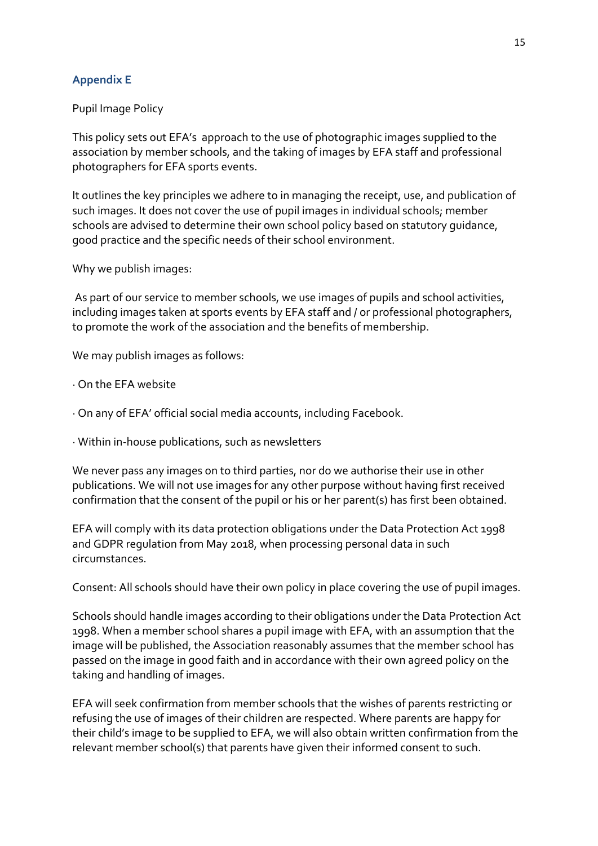## **Appendix E**

### Pupil Image Policy

This policy sets out EFA's approach to the use of photographic images supplied to the association by member schools, and the taking of images by EFA staff and professional photographers for EFA sports events.

It outlines the key principles we adhere to in managing the receipt, use, and publication of such images. It does not cover the use of pupil images in individual schools; member schools are advised to determine their own school policy based on statutory guidance, good practice and the specific needs of their school environment.

Why we publish images:

 As part of our service to member schools, we use images of pupils and school activities, including images taken at sports events by EFA staff and / or professional photographers, to promote the work of the association and the benefits of membership.

We may publish images as follows:

- · On the EFA website
- · On any of EFA' official social media accounts, including Facebook.
- · Within in-house publications, such as newsletters

We never pass any images on to third parties, nor do we authorise their use in other publications. We will not use images for any other purpose without having first received confirmation that the consent of the pupil or his or her parent(s) has first been obtained.

EFA will comply with its data protection obligations under the Data Protection Act 1998 and GDPR regulation from May 2018, when processing personal data in such circumstances.

Consent: All schools should have their own policy in place covering the use of pupil images.

Schools should handle images according to their obligations under the Data Protection Act 1998. When a member school shares a pupil image with EFA, with an assumption that the image will be published, the Association reasonably assumes that the member school has passed on the image in good faith and in accordance with their own agreed policy on the taking and handling of images.

EFA will seek confirmation from member schools that the wishes of parents restricting or refusing the use of images of their children are respected. Where parents are happy for their child's image to be supplied to EFA, we will also obtain written confirmation from the relevant member school(s) that parents have given their informed consent to such.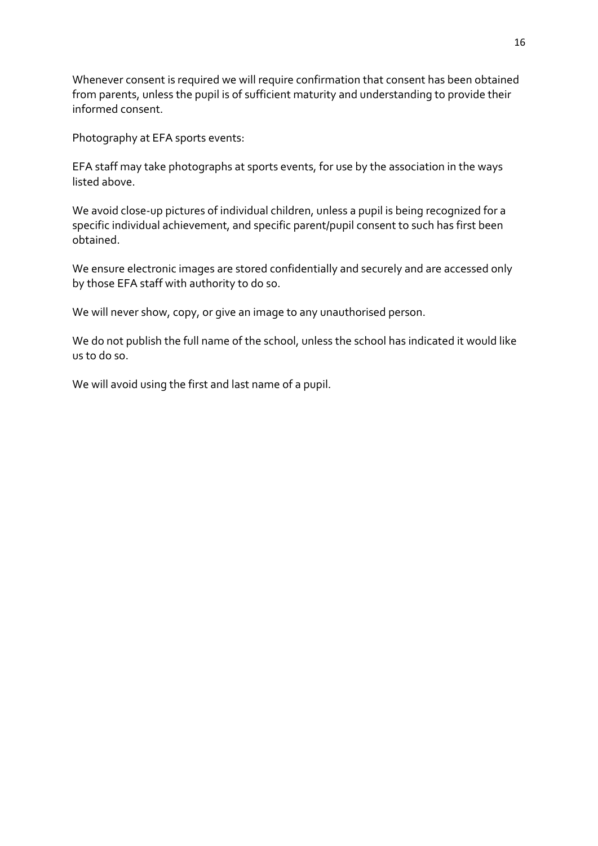Whenever consent is required we will require confirmation that consent has been obtained from parents, unless the pupil is of sufficient maturity and understanding to provide their informed consent.

Photography at EFA sports events:

EFA staff may take photographs at sports events, for use by the association in the ways listed above.

We avoid close-up pictures of individual children, unless a pupil is being recognized for a specific individual achievement, and specific parent/pupil consent to such has first been obtained.

We ensure electronic images are stored confidentially and securely and are accessed only by those EFA staff with authority to do so.

We will never show, copy, or give an image to any unauthorised person.

We do not publish the full name of the school, unless the school has indicated it would like us to do so.

We will avoid using the first and last name of a pupil.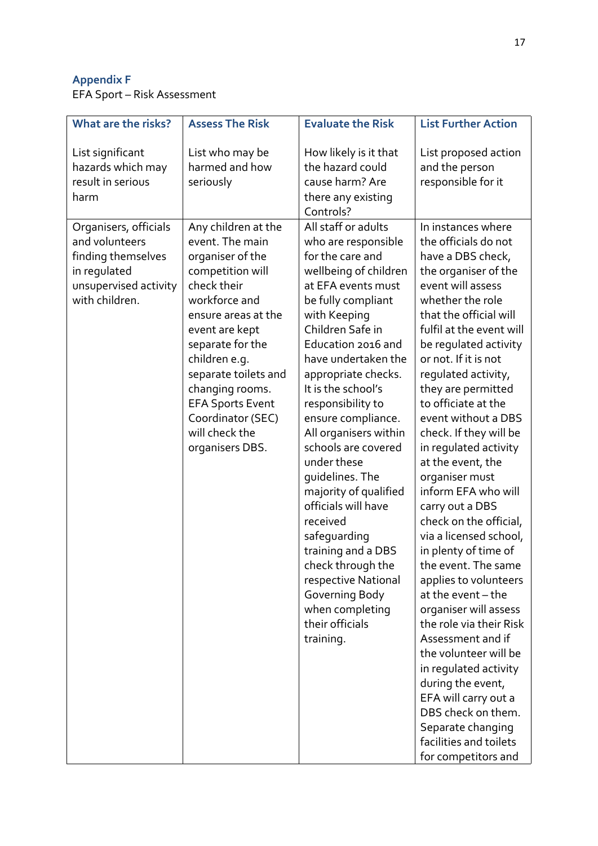# **Appendix F**

EFA Sport – Risk Assessment

| What are the risks?                                                                                                      | <b>Assess The Risk</b>                                                                                                                                                                                                                                                                                                       | <b>Evaluate the Risk</b>                                                                                                                                                                                                                                                                                                                                                                                                                                                                                                                                                                                          | <b>List Further Action</b>                                                                                                                                                                                                                                                                                                                                                                                                                                                                                                                                                                                                                                                                                                                                                                                                                                                                   |
|--------------------------------------------------------------------------------------------------------------------------|------------------------------------------------------------------------------------------------------------------------------------------------------------------------------------------------------------------------------------------------------------------------------------------------------------------------------|-------------------------------------------------------------------------------------------------------------------------------------------------------------------------------------------------------------------------------------------------------------------------------------------------------------------------------------------------------------------------------------------------------------------------------------------------------------------------------------------------------------------------------------------------------------------------------------------------------------------|----------------------------------------------------------------------------------------------------------------------------------------------------------------------------------------------------------------------------------------------------------------------------------------------------------------------------------------------------------------------------------------------------------------------------------------------------------------------------------------------------------------------------------------------------------------------------------------------------------------------------------------------------------------------------------------------------------------------------------------------------------------------------------------------------------------------------------------------------------------------------------------------|
| List significant<br>hazards which may<br>result in serious<br>harm                                                       | List who may be<br>harmed and how<br>seriously                                                                                                                                                                                                                                                                               | How likely is it that<br>the hazard could<br>cause harm? Are<br>there any existing<br>Controls?                                                                                                                                                                                                                                                                                                                                                                                                                                                                                                                   | List proposed action<br>and the person<br>responsible for it                                                                                                                                                                                                                                                                                                                                                                                                                                                                                                                                                                                                                                                                                                                                                                                                                                 |
| Organisers, officials<br>and volunteers<br>finding themselves<br>in regulated<br>unsupervised activity<br>with children. | Any children at the<br>event. The main<br>organiser of the<br>competition will<br>check their<br>workforce and<br>ensure areas at the<br>event are kept<br>separate for the<br>children e.g.<br>separate toilets and<br>changing rooms.<br><b>EFA Sports Event</b><br>Coordinator (SEC)<br>will check the<br>organisers DBS. | All staff or adults<br>who are responsible<br>for the care and<br>wellbeing of children<br>at EFA events must<br>be fully compliant<br>with Keeping<br>Children Safe in<br>Education 2016 and<br>have undertaken the<br>appropriate checks.<br>It is the school's<br>responsibility to<br>ensure compliance.<br>All organisers within<br>schools are covered<br>under these<br>quidelines. The<br>majority of qualified<br>officials will have<br>received<br>safeguarding<br>training and a DBS<br>check through the<br>respective National<br>Governing Body<br>when completing<br>their officials<br>training. | In instances where<br>the officials do not<br>have a DBS check,<br>the organiser of the<br>event will assess<br>whether the role<br>that the official will<br>fulfil at the event will<br>be regulated activity<br>or not. If it is not<br>regulated activity,<br>they are permitted<br>to officiate at the<br>event without a DBS<br>check. If they will be<br>in regulated activity<br>at the event, the<br>organiser must<br>inform EFA who will<br>carry out a DBS<br>check on the official,<br>via a licensed school,<br>in plenty of time of<br>the event. The same<br>applies to volunteers<br>at the event - the<br>organiser will assess<br>the role via their Risk<br>Assessment and if<br>the volunteer will be<br>in regulated activity<br>during the event,<br>EFA will carry out a<br>DBS check on them.<br>Separate changing<br>facilities and toilets<br>for competitors and |